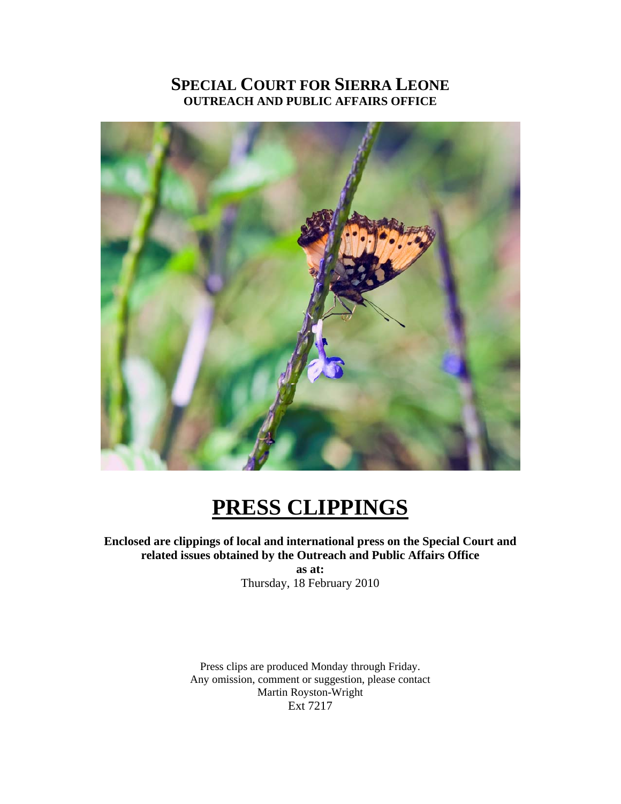## **SPECIAL COURT FOR SIERRA LEONE OUTREACH AND PUBLIC AFFAIRS OFFICE**



# **PRESS CLIPPINGS**

### **Enclosed are clippings of local and international press on the Special Court and related issues obtained by the Outreach and Public Affairs Office**

**as at:**  Thursday, 18 February 2010

Press clips are produced Monday through Friday. Any omission, comment or suggestion, please contact Martin Royston-Wright Ext 7217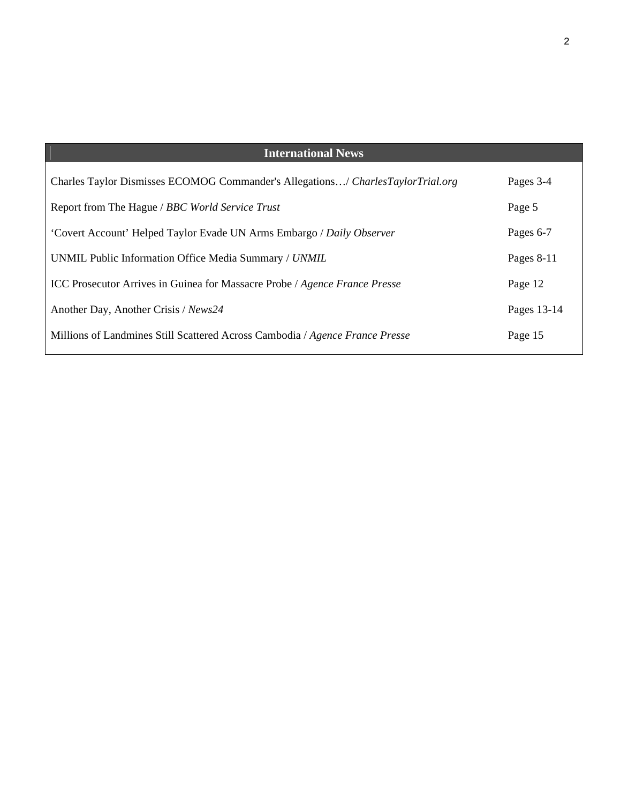| <b>International News</b>                                                         |             |
|-----------------------------------------------------------------------------------|-------------|
| Charles Taylor Dismisses ECOMOG Commander's Allegations/ Charles Taylor Trial.org | Pages 3-4   |
| Report from The Hague / BBC World Service Trust                                   | Page 5      |
| 'Covert Account' Helped Taylor Evade UN Arms Embargo / Daily Observer             | Pages 6-7   |
| UNMIL Public Information Office Media Summary / UNMIL                             | Pages 8-11  |
| <b>ICC Prosecutor Arrives in Guinea for Massacre Probe</b> / Agence France Presse | Page 12     |
| Another Day, Another Crisis / News24                                              | Pages 13-14 |
| Millions of Landmines Still Scattered Across Cambodia / Agence France Presse      | Page 15     |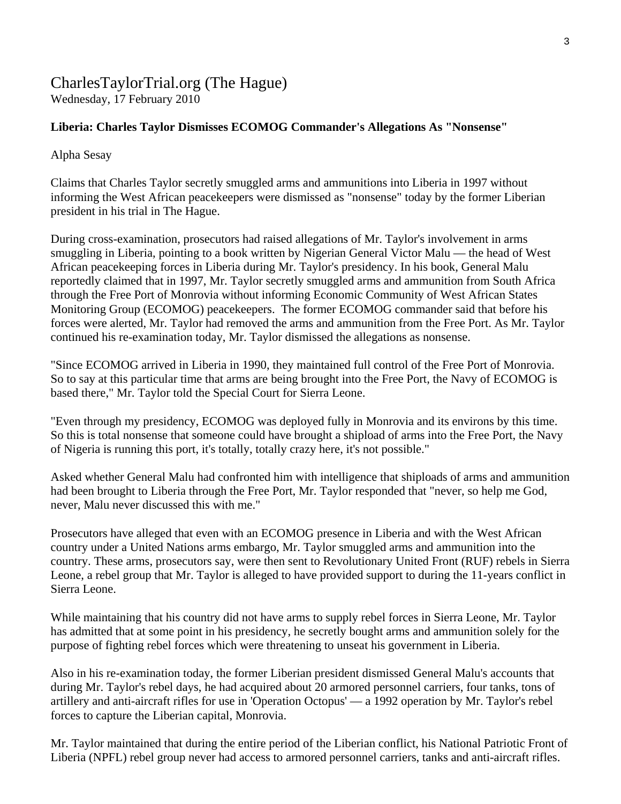#### CharlesTaylorTrial.org (The Hague) Wednesday, 17 February 2010

#### **Liberia: Charles Taylor Dismisses ECOMOG Commander's Allegations As "Nonsense"**

Alpha Sesay

Claims that Charles Taylor secretly smuggled arms and ammunitions into Liberia in 1997 without informing the West African peacekeepers were dismissed as "nonsense" today by the former Liberian president in his trial in The Hague.

During cross-examination, prosecutors had raised allegations of Mr. Taylor's involvement in arms smuggling in Liberia, pointing to a book written by Nigerian General Victor Malu — the head of West African peacekeeping forces in Liberia during Mr. Taylor's presidency. In his book, General Malu reportedly claimed that in 1997, Mr. Taylor secretly smuggled arms and ammunition from South Africa through the Free Port of Monrovia without informing Economic Community of West African States Monitoring Group (ECOMOG) peacekeepers. The former ECOMOG commander said that before his forces were alerted, Mr. Taylor had removed the arms and ammunition from the Free Port. As Mr. Taylor continued his re-examination today, Mr. Taylor dismissed the allegations as nonsense.

"Since ECOMOG arrived in Liberia in 1990, they maintained full control of the Free Port of Monrovia. So to say at this particular time that arms are being brought into the Free Port, the Navy of ECOMOG is based there," Mr. Taylor told the Special Court for Sierra Leone.

"Even through my presidency, ECOMOG was deployed fully in Monrovia and its environs by this time. So this is total nonsense that someone could have brought a shipload of arms into the Free Port, the Navy of Nigeria is running this port, it's totally, totally crazy here, it's not possible."

Asked whether General Malu had confronted him with intelligence that shiploads of arms and ammunition had been brought to Liberia through the Free Port, Mr. Taylor responded that "never, so help me God, never, Malu never discussed this with me."

Prosecutors have alleged that even with an ECOMOG presence in Liberia and with the West African country under a United Nations arms embargo, Mr. Taylor smuggled arms and ammunition into the country. These arms, prosecutors say, were then sent to Revolutionary United Front (RUF) rebels in Sierra Leone, a rebel group that Mr. Taylor is alleged to have provided support to during the 11-years conflict in Sierra Leone.

While maintaining that his country did not have arms to supply rebel forces in Sierra Leone, Mr. Taylor has admitted that at some point in his presidency, he secretly bought arms and ammunition solely for the purpose of fighting rebel forces which were threatening to unseat his government in Liberia.

Also in his re-examination today, the former Liberian president dismissed General Malu's accounts that during Mr. Taylor's rebel days, he had acquired about 20 armored personnel carriers, four tanks, tons of artillery and anti-aircraft rifles for use in 'Operation Octopus' — a 1992 operation by Mr. Taylor's rebel forces to capture the Liberian capital, Monrovia.

Mr. Taylor maintained that during the entire period of the Liberian conflict, his National Patriotic Front of Liberia (NPFL) rebel group never had access to armored personnel carriers, tanks and anti-aircraft rifles.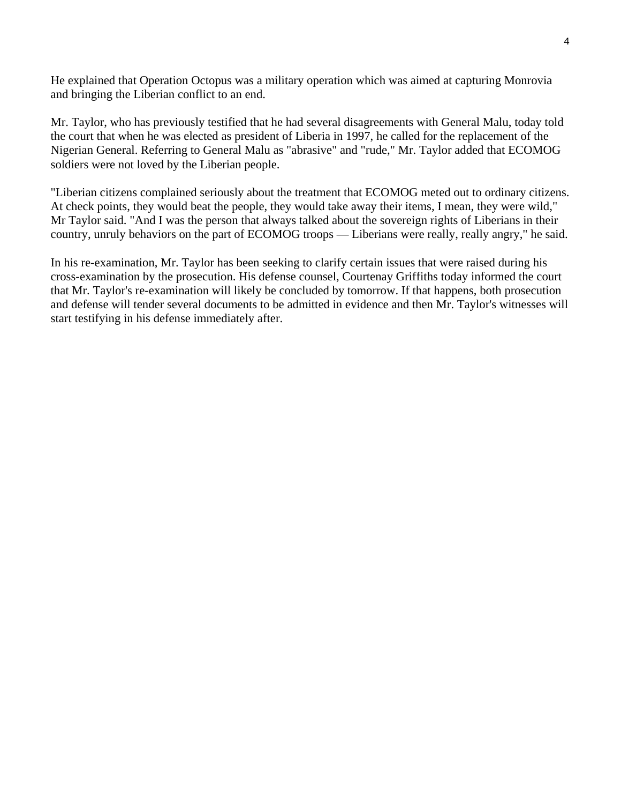He explained that Operation Octopus was a military operation which was aimed at capturing Monrovia and bringing the Liberian conflict to an end.

Mr. Taylor, who has previously testified that he had several disagreements with General Malu, today told the court that when he was elected as president of Liberia in 1997, he called for the replacement of the Nigerian General. Referring to General Malu as "abrasive" and "rude," Mr. Taylor added that ECOMOG soldiers were not loved by the Liberian people.

"Liberian citizens complained seriously about the treatment that ECOMOG meted out to ordinary citizens. At check points, they would beat the people, they would take away their items, I mean, they were wild," Mr Taylor said. "And I was the person that always talked about the sovereign rights of Liberians in their country, unruly behaviors on the part of ECOMOG troops — Liberians were really, really angry," he said.

In his re-examination, Mr. Taylor has been seeking to clarify certain issues that were raised during his cross-examination by the prosecution. His defense counsel, Courtenay Griffiths today informed the court that Mr. Taylor's re-examination will likely be concluded by tomorrow. If that happens, both prosecution and defense will tender several documents to be admitted in evidence and then Mr. Taylor's witnesses will start testifying in his defense immediately after.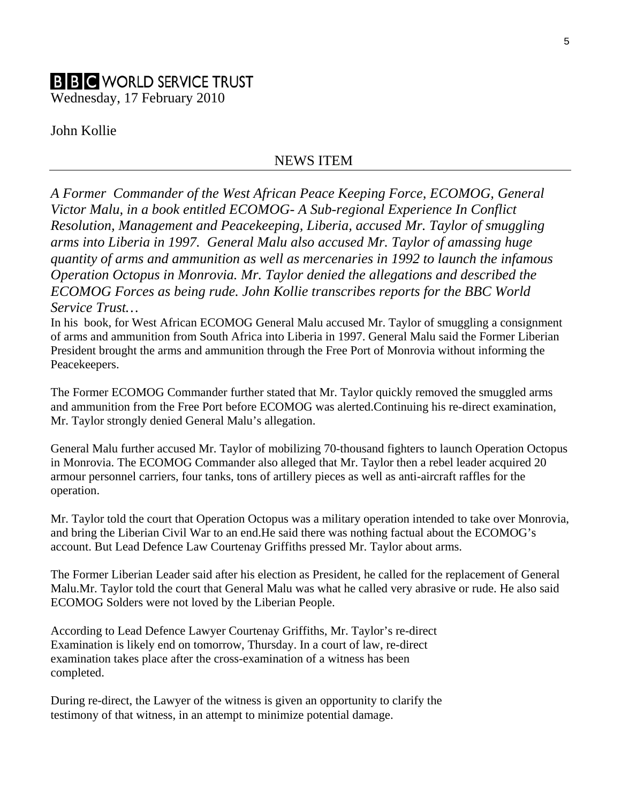## **B B C** WORLD SERVICE TRUST

Wednesday, 17 February 2010

John Kollie

#### NEWS ITEM

*A Former Commander of the West African Peace Keeping Force, ECOMOG, General Victor Malu, in a book entitled ECOMOG- A Sub-regional Experience In Conflict Resolution, Management and Peacekeeping, Liberia, accused Mr. Taylor of smuggling arms into Liberia in 1997. General Malu also accused Mr. Taylor of amassing huge quantity of arms and ammunition as well as mercenaries in 1992 to launch the infamous Operation Octopus in Monrovia. Mr. Taylor denied the allegations and described the ECOMOG Forces as being rude. John Kollie transcribes reports for the BBC World Service Trust…* 

In his book, for West African ECOMOG General Malu accused Mr. Taylor of smuggling a consignment of arms and ammunition from South Africa into Liberia in 1997. General Malu said the Former Liberian President brought the arms and ammunition through the Free Port of Monrovia without informing the Peacekeepers.

The Former ECOMOG Commander further stated that Mr. Taylor quickly removed the smuggled arms and ammunition from the Free Port before ECOMOG was alerted.Continuing his re-direct examination, Mr. Taylor strongly denied General Malu's allegation.

General Malu further accused Mr. Taylor of mobilizing 70-thousand fighters to launch Operation Octopus in Monrovia. The ECOMOG Commander also alleged that Mr. Taylor then a rebel leader acquired 20 armour personnel carriers, four tanks, tons of artillery pieces as well as anti-aircraft raffles for the operation.

Mr. Taylor told the court that Operation Octopus was a military operation intended to take over Monrovia, and bring the Liberian Civil War to an end.He said there was nothing factual about the ECOMOG's account. But Lead Defence Law Courtenay Griffiths pressed Mr. Taylor about arms.

The Former Liberian Leader said after his election as President, he called for the replacement of General Malu.Mr. Taylor told the court that General Malu was what he called very abrasive or rude. He also said ECOMOG Solders were not loved by the Liberian People.

According to Lead Defence Lawyer Courtenay Griffiths, Mr. Taylor's re-direct Examination is likely end on tomorrow, Thursday. In a court of law, re-direct examination takes place after the cross-examination of a witness has been completed.

During re-direct, the Lawyer of the witness is given an opportunity to clarify the testimony of that witness, in an attempt to minimize potential damage.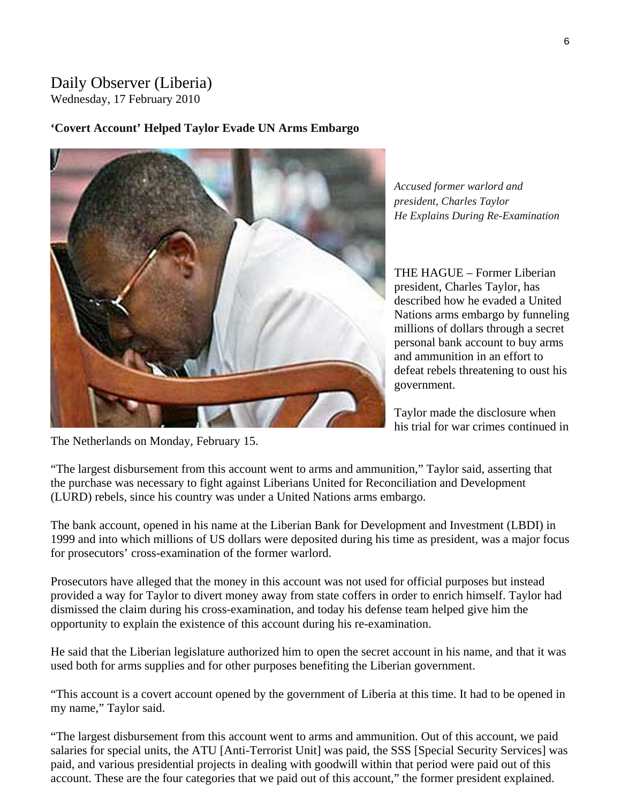## Daily Observer (Liberia)

Wednesday, 17 February 2010

#### **'Covert Account' Helped Taylor Evade UN Arms Embargo**



*Accused former warlord and president, Charles Taylor He Explains During Re-Examination* 

THE HAGUE – Former Liberian president, Charles Taylor, has described how he evaded a United Nations arms embargo by funneling millions of dollars through a secret personal bank account to buy arms and ammunition in an effort to defeat rebels threatening to oust his government.

Taylor made the disclosure when his trial for war crimes continued in

The Netherlands on Monday, February 15.

"The largest disbursement from this account went to arms and ammunition," Taylor said, asserting that the purchase was necessary to fight against Liberians United for Reconciliation and Development (LURD) rebels, since his country was under a United Nations arms embargo.

The bank account, opened in his name at the Liberian Bank for Development and Investment (LBDI) in 1999 and into which millions of US dollars were deposited during his time as president, was a major focus for prosecutors' cross-examination of the former warlord.

Prosecutors have alleged that the money in this account was not used for official purposes but instead provided a way for Taylor to divert money away from state coffers in order to enrich himself. Taylor had dismissed the claim during his cross-examination, and today his defense team helped give him the opportunity to explain the existence of this account during his re-examination.

He said that the Liberian legislature authorized him to open the secret account in his name, and that it was used both for arms supplies and for other purposes benefiting the Liberian government.

"This account is a covert account opened by the government of Liberia at this time. It had to be opened in my name," Taylor said.

"The largest disbursement from this account went to arms and ammunition. Out of this account, we paid salaries for special units, the ATU [Anti-Terrorist Unit] was paid, the SSS [Special Security Services] was paid, and various presidential projects in dealing with goodwill within that period were paid out of this account. These are the four categories that we paid out of this account," the former president explained.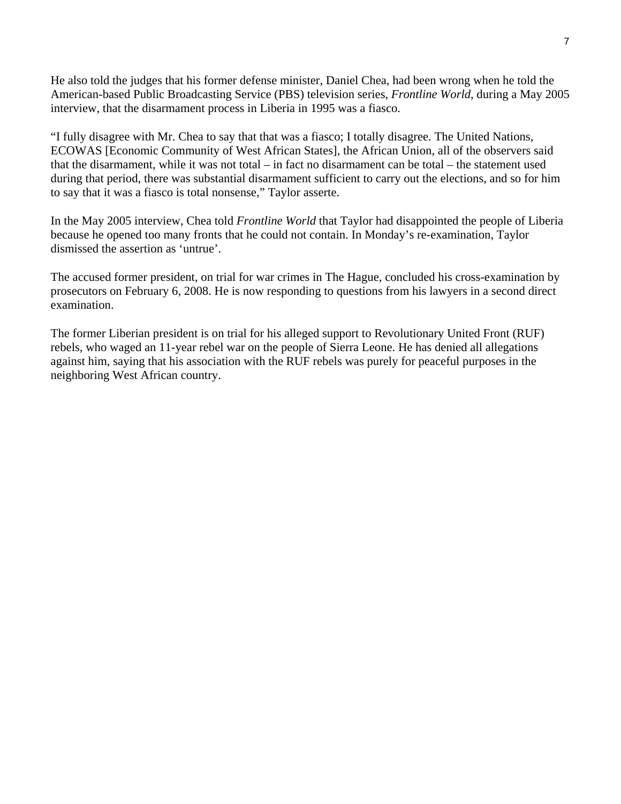He also told the judges that his former defense minister, Daniel Chea, had been wrong when he told the American-based Public Broadcasting Service (PBS) television series, *Frontline World*, during a May 2005 interview, that the disarmament process in Liberia in 1995 was a fiasco.

"I fully disagree with Mr. Chea to say that that was a fiasco; I totally disagree. The United Nations, ECOWAS [Economic Community of West African States], the African Union, all of the observers said that the disarmament, while it was not total – in fact no disarmament can be total – the statement used during that period, there was substantial disarmament sufficient to carry out the elections, and so for him to say that it was a fiasco is total nonsense," Taylor asserte.

In the May 2005 interview, Chea told *Frontline World* that Taylor had disappointed the people of Liberia because he opened too many fronts that he could not contain. In Monday's re-examination, Taylor dismissed the assertion as 'untrue'.

The accused former president, on trial for war crimes in The Hague, concluded his cross-examination by prosecutors on February 6, 2008. He is now responding to questions from his lawyers in a second direct examination.

The former Liberian president is on trial for his alleged support to Revolutionary United Front (RUF) rebels, who waged an 11-year rebel war on the people of Sierra Leone. He has denied all allegations against him, saying that his association with the RUF rebels was purely for peaceful purposes in the neighboring West African country.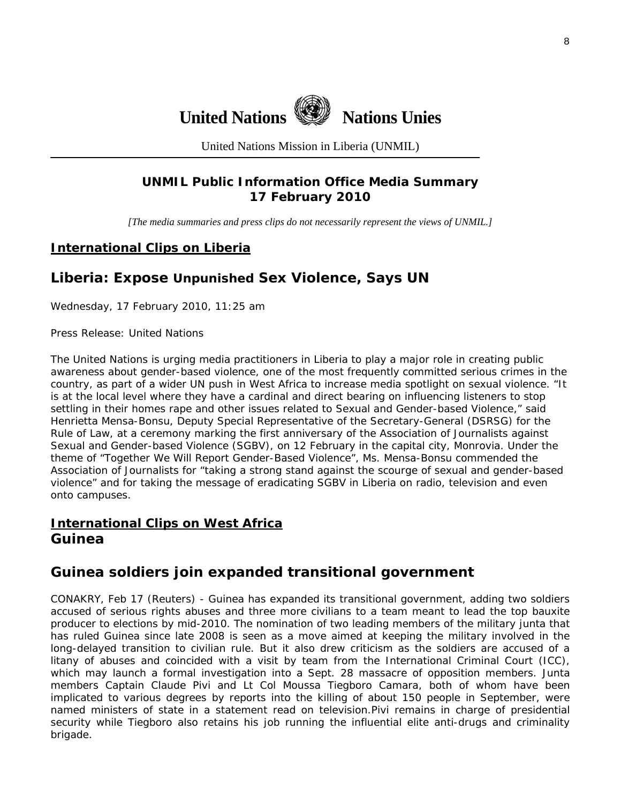

United Nations Mission in Liberia (UNMIL)

#### **UNMIL Public Information Office Media Summary 17 February 2010**

*[The media summaries and press clips do not necessarily represent the views of UNMIL.]* 

#### **International Clips on Liberia**

## **Liberia: Expose Unpunished Sex Violence, Says UN**

Wednesday, 17 February 2010, 11:25 am

Press Release: United Nations

The United Nations is urging media practitioners in Liberia to play a major role in creating public awareness about gender-based violence, one of the most frequently committed serious crimes in the country, as part of a wider UN push in West Africa to increase media spotlight on sexual violence. "It is at the local level where they have a cardinal and direct bearing on influencing listeners to stop settling in their homes rape and other issues related to Sexual and Gender-based Violence," said Henrietta Mensa-Bonsu, Deputy Special Representative of the Secretary-General (DSRSG) for the Rule of Law, at a ceremony marking the first anniversary of the Association of Journalists against Sexual and Gender-based Violence (SGBV), on 12 February in the capital city, Monrovia. Under the theme of "Together We Will Report Gender-Based Violence", Ms. Mensa-Bonsu commended the Association of Journalists for "taking a strong stand against the scourge of sexual and gender-based violence" and for taking the message of eradicating SGBV in Liberia on radio, television and even onto campuses.

### **International Clips on West Africa Guinea**

### **Guinea soldiers join expanded transitional government**

CONAKRY, Feb 17 (Reuters) - Guinea has expanded its transitional government, adding two soldiers accused of serious rights abuses and three more civilians to a team meant to lead the top bauxite producer to elections by mid-2010. The nomination of two leading members of the military junta that has ruled Guinea since late 2008 is seen as a move aimed at keeping the military involved in the long-delayed transition to civilian rule. But it also drew criticism as the soldiers are accused of a litany of abuses and coincided with a visit by team from the International Criminal Court (ICC), which may launch a formal investigation into a Sept. 28 massacre of opposition members. Junta members Captain Claude Pivi and Lt Col Moussa Tiegboro Camara, both of whom have been implicated to various degrees by reports into the killing of about 150 people in September, were named ministers of state in a statement read on television.Pivi remains in charge of presidential security while Tiegboro also retains his job running the influential elite anti-drugs and criminality brigade.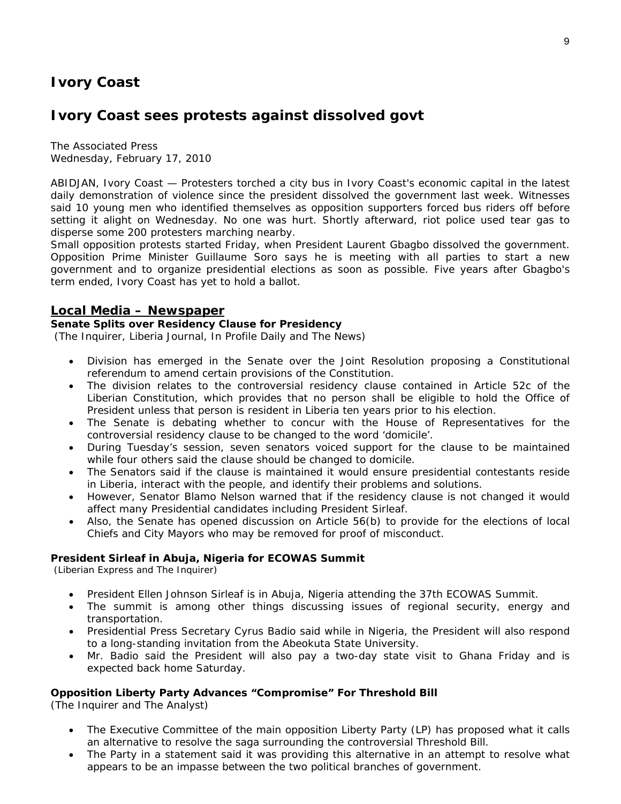## **Ivory Coast**

## **Ivory Coast sees protests against dissolved govt**

The Associated Press Wednesday, February 17, 2010

ABIDJAN, Ivory Coast — Protesters torched a city bus in Ivory Coast's economic capital in the latest daily demonstration of violence since the president dissolved the government last week. Witnesses said 10 young men who identified themselves as opposition supporters forced bus riders off before setting it alight on Wednesday. No one was hurt. Shortly afterward, riot police used tear gas to disperse some 200 protesters marching nearby.

Small opposition protests started Friday, when President Laurent Gbagbo dissolved the government. Opposition Prime Minister Guillaume Soro says he is meeting with all parties to start a new government and to organize presidential elections as soon as possible. Five years after Gbagbo's term ended, Ivory Coast has yet to hold a ballot.

#### **Local Media – Newspaper**

#### **Senate Splits over Residency Clause for Presidency**

(The Inquirer, Liberia Journal, In Profile Daily and The News)

- Division has emerged in the Senate over the Joint Resolution proposing a Constitutional referendum to amend certain provisions of the Constitution.
- The division relates to the controversial residency clause contained in Article 52c of the Liberian Constitution, which provides that no person shall be eligible to hold the Office of President unless that person is resident in Liberia ten years prior to his election.
- The Senate is debating whether to concur with the House of Representatives for the controversial residency clause to be changed to the word 'domicile'.
- During Tuesday's session, seven senators voiced support for the clause to be maintained while four others said the clause should be changed to domicile.
- The Senators said if the clause is maintained it would ensure presidential contestants reside in Liberia, interact with the people, and identify their problems and solutions.
- However, Senator Blamo Nelson warned that if the residency clause is not changed it would affect many Presidential candidates including President Sirleaf.
- Also, the Senate has opened discussion on Article 56(b) to provide for the elections of local Chiefs and City Mayors who may be removed for proof of misconduct.

#### **President Sirleaf in Abuja, Nigeria for ECOWAS Summit**

(Liberian Express and The Inquirer)

- President Ellen Johnson Sirleaf is in Abuja, Nigeria attending the 37th ECOWAS Summit.
- The summit is among other things discussing issues of regional security, energy and transportation.
- Presidential Press Secretary Cyrus Badio said while in Nigeria, the President will also respond to a long-standing invitation from the Abeokuta State University.
- Mr. Badio said the President will also pay a two-day state visit to Ghana Friday and is expected back home Saturday.

#### **Opposition Liberty Party Advances "Compromise" For Threshold Bill**

(The Inquirer and The Analyst)

- The Executive Committee of the main opposition Liberty Party (LP) has proposed what it calls an alternative to resolve the saga surrounding the controversial Threshold Bill.
- The Party in a statement said it was providing this alternative in an attempt to resolve what appears to be an impasse between the two political branches of government.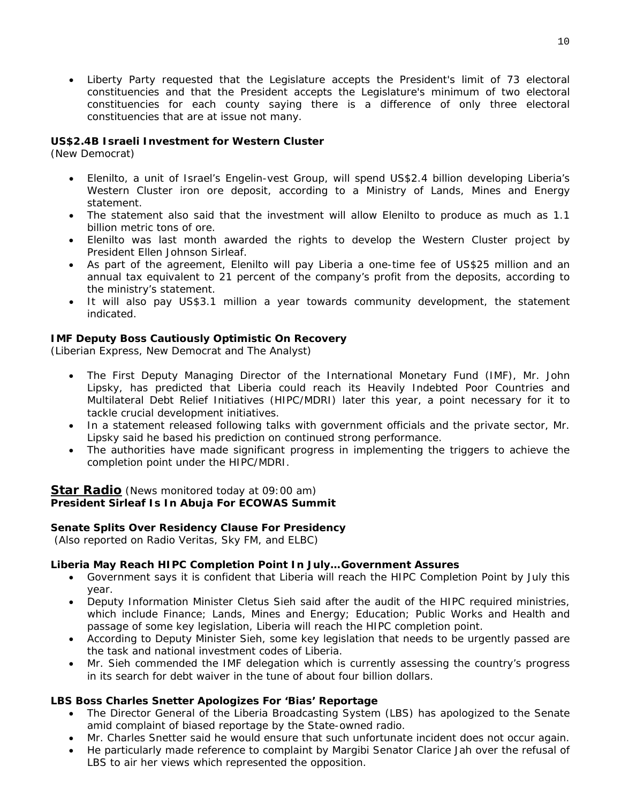• Liberty Party requested that the Legislature accepts the President's limit of 73 electoral constituencies and that the President accepts the Legislature's minimum of two electoral constituencies for each county saying there is a difference of only three electoral constituencies that are at issue not many.

#### **US\$2.4B Israeli Investment for Western Cluster**

(New Democrat)

- Elenilto, a unit of Israel's Engelin-vest Group, will spend US\$2.4 billion developing Liberia's Western Cluster iron ore deposit, according to a Ministry of Lands, Mines and Energy statement.
- The statement also said that the investment will allow Elenilto to produce as much as 1.1 billion metric tons of ore.
- Elenilto was last month awarded the rights to develop the Western Cluster project by President Ellen Johnson Sirleaf.
- As part of the agreement, Elenilto will pay Liberia a one-time fee of US\$25 million and an annual tax equivalent to 21 percent of the company's profit from the deposits, according to the ministry's statement.
- It will also pay US\$3.1 million a year towards community development, the statement indicated.

#### **IMF Deputy Boss Cautiously Optimistic On Recovery**

(Liberian Express, New Democrat and The Analyst)

- The First Deputy Managing Director of the International Monetary Fund (IMF), Mr. John Lipsky, has predicted that Liberia could reach its Heavily Indebted Poor Countries and Multilateral Debt Relief Initiatives (HIPC/MDRI) later this year, a point necessary for it to tackle crucial development initiatives.
- In a statement released following talks with government officials and the private sector, Mr. Lipsky said he based his prediction on continued strong performance.
- The authorities have made significant progress in implementing the triggers to achieve the completion point under the HIPC/MDRI.

#### **Star Radio** *(News monitored today at 09:00 am)* **President Sirleaf Is In Abuja For ECOWAS Summit**

#### **Senate Splits Over Residency Clause For Presidency**

 *(Also reported on Radio Veritas, Sky FM, and ELBC)* 

#### **Liberia May Reach HIPC Completion Point In July…Government Assures**

- Government says it is confident that Liberia will reach the HIPC Completion Point by July this year.
- Deputy Information Minister Cletus Sieh said after the audit of the HIPC required ministries, which include Finance; Lands, Mines and Energy; Education; Public Works and Health and passage of some key legislation, Liberia will reach the HIPC completion point.
- According to Deputy Minister Sieh, some key legislation that needs to be urgently passed are the task and national investment codes of Liberia.
- Mr. Sieh commended the IMF delegation which is currently assessing the country's progress in its search for debt waiver in the tune of about four billion dollars.

#### **LBS Boss Charles Snetter Apologizes For 'Bias' Reportage**

- The Director General of the Liberia Broadcasting System (LBS) has apologized to the Senate amid complaint of biased reportage by the State-owned radio.
- Mr. Charles Snetter said he would ensure that such unfortunate incident does not occur again.
- He particularly made reference to complaint by Margibi Senator Clarice Jah over the refusal of LBS to air her views which represented the opposition.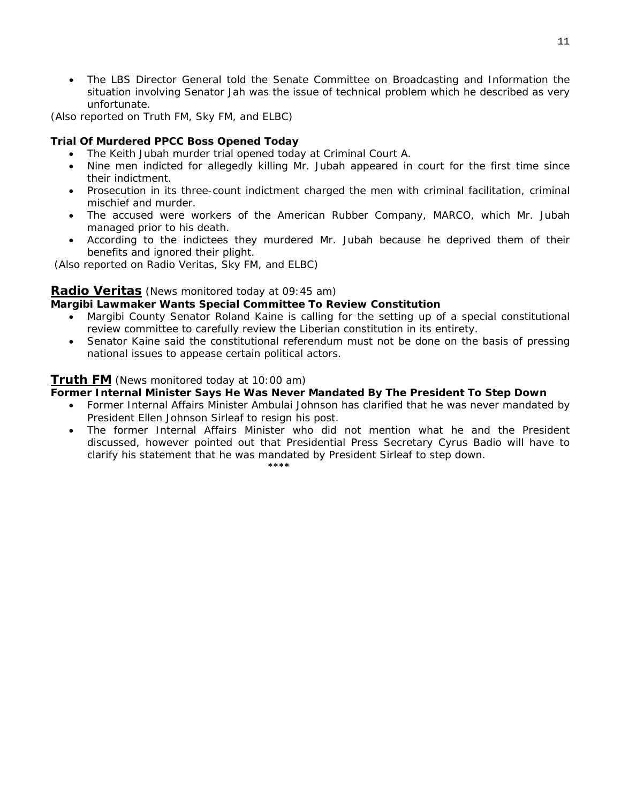• The LBS Director General told the Senate Committee on Broadcasting and Information the situation involving Senator Jah was the issue of technical problem which he described as very unfortunate.

*(Also reported on Truth FM, Sky FM, and ELBC)* 

#### **Trial Of Murdered PPCC Boss Opened Today**

- The Keith Jubah murder trial opened today at Criminal Court A.
- Nine men indicted for allegedly killing Mr. Jubah appeared in court for the first time since their indictment.
- Prosecution in its three-count indictment charged the men with criminal facilitation, criminal mischief and murder.
- The accused were workers of the American Rubber Company, MARCO, which Mr. Jubah managed prior to his death.
- According to the indictees they murdered Mr. Jubah because he deprived them of their benefits and ignored their plight.

 *(Also reported on Radio Veritas, Sky FM, and ELBC)* 

#### **Radio Veritas** *(News monitored today at 09:45 am)*

#### **Margibi Lawmaker Wants Special Committee To Review Constitution**

- Margibi County Senator Roland Kaine is calling for the setting up of a special constitutional review committee to carefully review the Liberian constitution in its entirety.
- Senator Kaine said the constitutional referendum must not be done on the basis of pressing national issues to appease certain political actors.

#### **Truth FM** *(News monitored today at 10:00 am)*

#### **Former Internal Minister Says He Was Never Mandated By The President To Step Down**

- Former Internal Affairs Minister Ambulai Johnson has clarified that he was never mandated by President Ellen Johnson Sirleaf to resign his post.
- The former Internal Affairs Minister who did not mention what he and the President discussed, however pointed out that Presidential Press Secretary Cyrus Badio will have to clarify his statement that he was mandated by President Sirleaf to step down.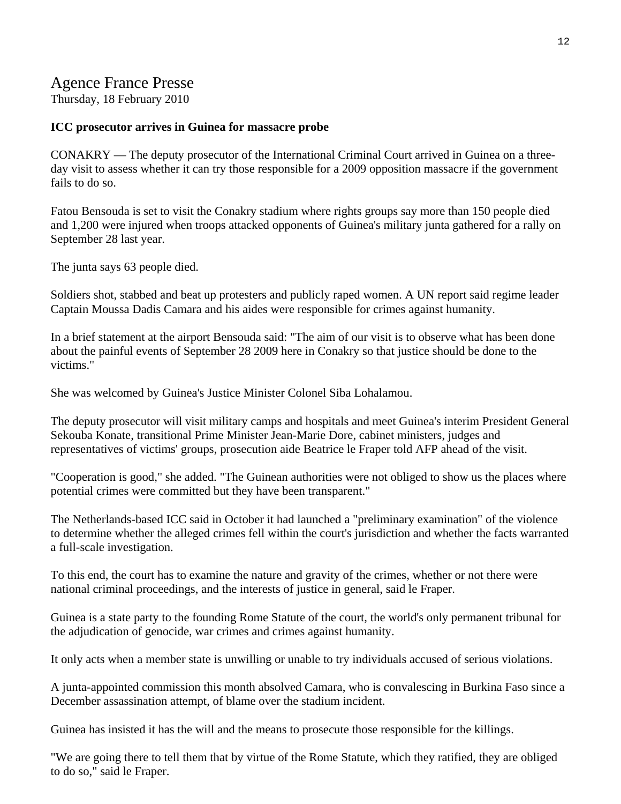## Agence France Presse

Thursday, 18 February 2010

#### **ICC prosecutor arrives in Guinea for massacre probe**

CONAKRY — The deputy prosecutor of the International Criminal Court arrived in Guinea on a threeday visit to assess whether it can try those responsible for a 2009 opposition massacre if the government fails to do so.

Fatou Bensouda is set to visit the Conakry stadium where rights groups say more than 150 people died and 1,200 were injured when troops attacked opponents of Guinea's military junta gathered for a rally on September 28 last year.

The junta says 63 people died.

Soldiers shot, stabbed and beat up protesters and publicly raped women. A UN report said regime leader Captain Moussa Dadis Camara and his aides were responsible for crimes against humanity.

In a brief statement at the airport Bensouda said: "The aim of our visit is to observe what has been done about the painful events of September 28 2009 here in Conakry so that justice should be done to the victims."

She was welcomed by Guinea's Justice Minister Colonel Siba Lohalamou.

The deputy prosecutor will visit military camps and hospitals and meet Guinea's interim President General Sekouba Konate, transitional Prime Minister Jean-Marie Dore, cabinet ministers, judges and representatives of victims' groups, prosecution aide Beatrice le Fraper told AFP ahead of the visit.

"Cooperation is good," she added. "The Guinean authorities were not obliged to show us the places where potential crimes were committed but they have been transparent."

The Netherlands-based ICC said in October it had launched a "preliminary examination" of the violence to determine whether the alleged crimes fell within the court's jurisdiction and whether the facts warranted a full-scale investigation.

To this end, the court has to examine the nature and gravity of the crimes, whether or not there were national criminal proceedings, and the interests of justice in general, said le Fraper.

Guinea is a state party to the founding Rome Statute of the court, the world's only permanent tribunal for the adjudication of genocide, war crimes and crimes against humanity.

It only acts when a member state is unwilling or unable to try individuals accused of serious violations.

A junta-appointed commission this month absolved Camara, who is convalescing in Burkina Faso since a December assassination attempt, of blame over the stadium incident.

Guinea has insisted it has the will and the means to prosecute those responsible for the killings.

"We are going there to tell them that by virtue of the Rome Statute, which they ratified, they are obliged to do so," said le Fraper.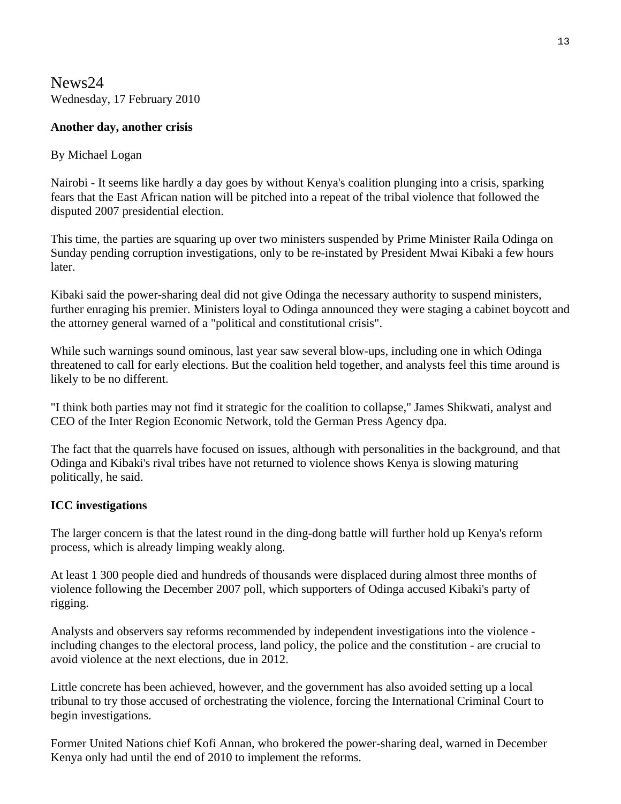News24 Wednesday, 17 February 2010

#### **Another day, another crisis**

#### By Michael Logan

Nairobi - It seems like hardly a day goes by without Kenya's coalition plunging into a crisis, sparking fears that the East African nation will be pitched into a repeat of the tribal violence that followed the disputed 2007 presidential election.

This time, the parties are squaring up over two ministers suspended by Prime Minister Raila Odinga on Sunday pending corruption investigations, only to be re-instated by President Mwai Kibaki a few hours later.

Kibaki said the power-sharing deal did not give Odinga the necessary authority to suspend ministers, further enraging his premier. Ministers loyal to Odinga announced they were staging a cabinet boycott and the attorney general warned of a "political and constitutional crisis".

While such warnings sound ominous, last year saw several blow-ups, including one in which Odinga threatened to call for early elections. But the coalition held together, and analysts feel this time around is likely to be no different.

"I think both parties may not find it strategic for the coalition to collapse," James Shikwati, analyst and CEO of the Inter Region Economic Network, told the German Press Agency dpa.

The fact that the quarrels have focused on issues, although with personalities in the background, and that Odinga and Kibaki's rival tribes have not returned to violence shows Kenya is slowing maturing politically, he said.

#### **ICC investigations**

The larger concern is that the latest round in the ding-dong battle will further hold up Kenya's reform process, which is already limping weakly along.

At least 1 300 people died and hundreds of thousands were displaced during almost three months of violence following the December 2007 poll, which supporters of Odinga accused Kibaki's party of rigging.

Analysts and observers say reforms recommended by independent investigations into the violence including changes to the electoral process, land policy, the police and the constitution - are crucial to avoid violence at the next elections, due in 2012.

Little concrete has been achieved, however, and the government has also avoided setting up a local tribunal to try those accused of orchestrating the violence, forcing the International Criminal Court to begin investigations.

Former United Nations chief Kofi Annan, who brokered the power-sharing deal, warned in December Kenya only had until the end of 2010 to implement the reforms.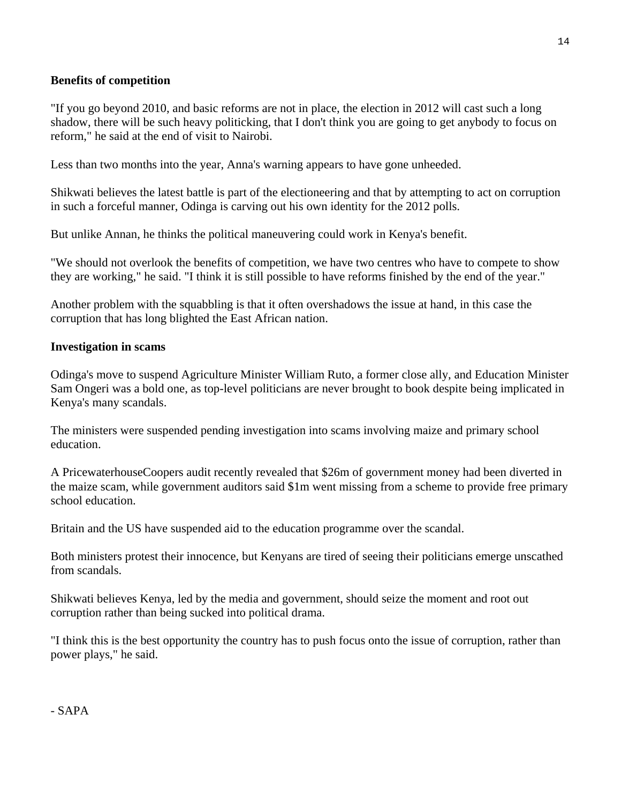#### **Benefits of competition**

"If you go beyond 2010, and basic reforms are not in place, the election in 2012 will cast such a long shadow, there will be such heavy politicking, that I don't think you are going to get anybody to focus on reform," he said at the end of visit to Nairobi.

Less than two months into the year, Anna's warning appears to have gone unheeded.

Shikwati believes the latest battle is part of the electioneering and that by attempting to act on corruption in such a forceful manner, Odinga is carving out his own identity for the 2012 polls.

But unlike Annan, he thinks the political maneuvering could work in Kenya's benefit.

"We should not overlook the benefits of competition, we have two centres who have to compete to show they are working," he said. "I think it is still possible to have reforms finished by the end of the year."

Another problem with the squabbling is that it often overshadows the issue at hand, in this case the corruption that has long blighted the East African nation.

#### **Investigation in scams**

Odinga's move to suspend Agriculture Minister William Ruto, a former close ally, and Education Minister Sam Ongeri was a bold one, as top-level politicians are never brought to book despite being implicated in Kenya's many scandals.

The ministers were suspended pending investigation into scams involving maize and primary school education.

A PricewaterhouseCoopers audit recently revealed that \$26m of government money had been diverted in the maize scam, while government auditors said \$1m went missing from a scheme to provide free primary school education.

Britain and the US have suspended aid to the education programme over the scandal.

Both ministers protest their innocence, but Kenyans are tired of seeing their politicians emerge unscathed from scandals.

Shikwati believes Kenya, led by the media and government, should seize the moment and root out corruption rather than being sucked into political drama.

"I think this is the best opportunity the country has to push focus onto the issue of corruption, rather than power plays," he said.

- SAPA